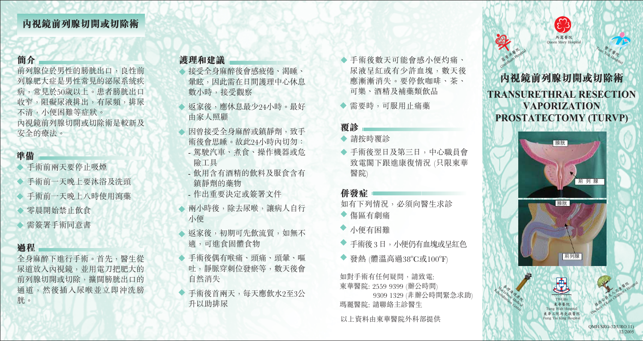# 簡介

前列腺位於男性的膀胱出口,良性前 列腺肥大症是男性常見的泌尿系統疾 病,常見於50歲以上。患者膀胱出口 收窄,阻礙尿液排出,有尿頻,排尿 不清,小便困難等症狀。 內視鏡前列腺切開或切除術是較新及 安全的療法。

## 準備

- 手術前兩天要停止吸煙
- ◆ 手術前一天晚上要沐浴及洗頭
- 手術前一天晚上八時伸用瀉藥
- 零晨開始禁止飲食
- 需簽署手術同意書

#### 過程

全身麻醉下進行手術。首先, 醫生從 尿道放入內視鏡,並用電刀把肥大的 前列腺切開或切除,擴闊膀胱出口的 诵道,然後插入尿喉並立即沖洗膀 胱。

## 護理和建議

- 接受全身麻醉後會感疲倦、渴睡、 暈眩,因此需在日間護理中心休息 數小時,接受觀察
- 扳家後,應休息最少24小時。最好 由家人照顧
- 因曾接受全身麻醉或鎮靜劑, 致手 術後會思睡。故此24小時內切勿:
- 駕駛汽車、煮食、操作機器或危 險工具
- 飲用含有酒精的飲料及服食含有 鎮靜劑的藥物
- 作出重要決定或簽署文件
- ◆ 兩小時後,除去尿喉,讓病人自行 小便
- ◆ 扳家後, 初期可先飲流質, 如無不 滴,可谁食固體食物
- ◆ 手術後偶有喉痛、頭痛、頭暈、嘔 吐,靜脈穿刺位發瘀等,數天後會 自然消失
- ◆ 手術後首兩天,每天應飲水2至3公 升以助排尿
- ◆ 手術後數天可能會感小便灼痛、 尿液呈紅或有少許血塊, 數天後 應漸漸消失。要停飲咖啡、茶、 可樂、酒精及補藥類飲品
- ◆ 需要時,可服用止痛藥

#### 覆診

### ◆ 請按時覆診

◆ 手術後翌日及第三日,中心職員會 致電閣下跟進康復情況 (只限東華 醫院)

## 併發症!

如有下列情況, 必須向醫生求診 ◆ 傷區有劇痛

- 小便有困難
- 手術後3日,小便仍有血塊或旱紅色
- ◆ 發熱 (體溫高過38°C或100°F)

如對手術有任何疑問,請致電: 東華醫院: 2559 9399 (辦公時間) 9309 1329 (非辦公時間緊急求助) 瑪麗醫院: 請聯絡主診醫生

以上資料由東華醫院外科部提供